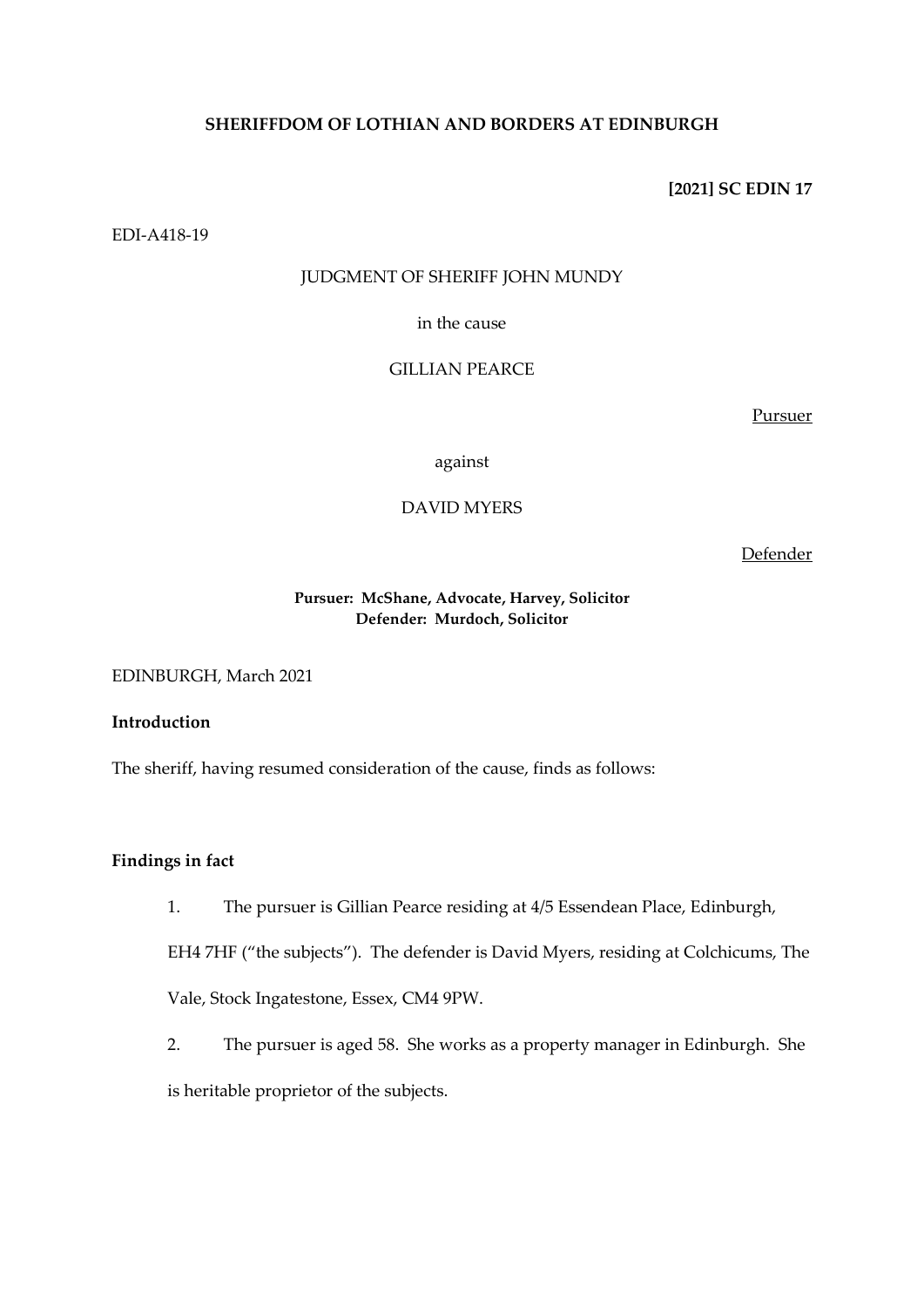# **SHERIFFDOM OF LOTHIAN AND BORDERS AT EDINBURGH**

**[2021] SC EDIN 17**

EDI-A418-19

# JUDGMENT OF SHERIFF JOHN MUNDY

in the cause

# GILLIAN PEARCE

Pursuer

against

# DAVID MYERS

Defender

## **Pursuer: McShane, Advocate, Harvey, Solicitor Defender: Murdoch, Solicitor**

EDINBURGH, March 2021

# **Introduction**

The sheriff, having resumed consideration of the cause, finds as follows:

# **Findings in fact**

1. The pursuer is Gillian Pearce residing at 4/5 Essendean Place, Edinburgh,

EH4 7HF ("the subjects"). The defender is David Myers, residing at Colchicums, The

Vale, Stock Ingatestone, Essex, CM4 9PW.

2. The pursuer is aged 58. She works as a property manager in Edinburgh. She is heritable proprietor of the subjects.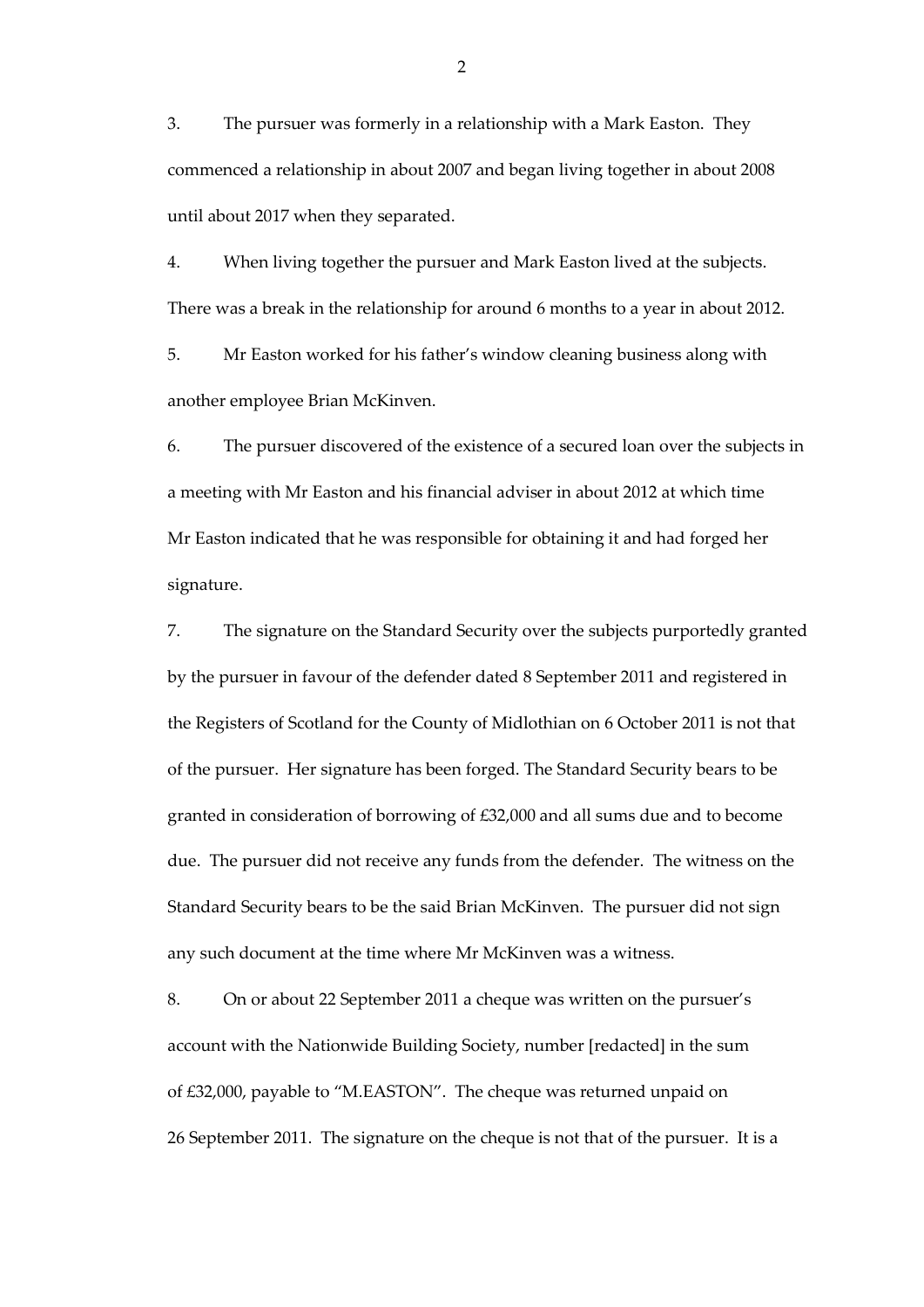3. The pursuer was formerly in a relationship with a Mark Easton. They commenced a relationship in about 2007 and began living together in about 2008 until about 2017 when they separated.

4. When living together the pursuer and Mark Easton lived at the subjects. There was a break in the relationship for around 6 months to a year in about 2012.

5. Mr Easton worked for his father's window cleaning business along with another employee Brian McKinven.

6. The pursuer discovered of the existence of a secured loan over the subjects in a meeting with Mr Easton and his financial adviser in about 2012 at which time Mr Easton indicated that he was responsible for obtaining it and had forged her signature.

7. The signature on the Standard Security over the subjects purportedly granted by the pursuer in favour of the defender dated 8 September 2011 and registered in the Registers of Scotland for the County of Midlothian on 6 October 2011 is not that of the pursuer. Her signature has been forged. The Standard Security bears to be granted in consideration of borrowing of £32,000 and all sums due and to become due. The pursuer did not receive any funds from the defender. The witness on the Standard Security bears to be the said Brian McKinven. The pursuer did not sign any such document at the time where Mr McKinven was a witness.

8. On or about 22 September 2011 a cheque was written on the pursuer's account with the Nationwide Building Society, number [redacted] in the sum of £32,000, payable to "M.EASTON". The cheque was returned unpaid on 26 September 2011. The signature on the cheque is not that of the pursuer. It is a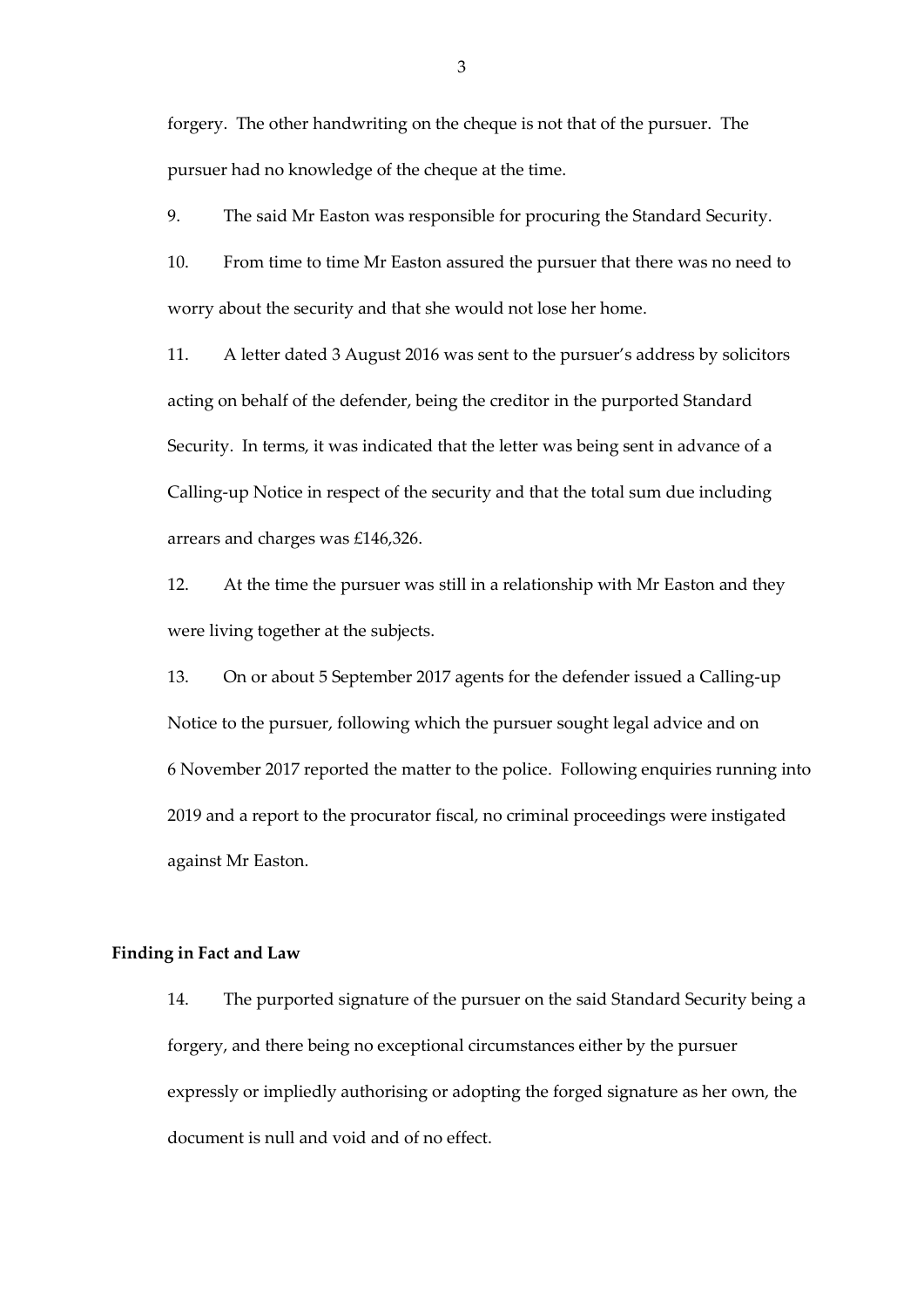forgery. The other handwriting on the cheque is not that of the pursuer. The pursuer had no knowledge of the cheque at the time.

9. The said Mr Easton was responsible for procuring the Standard Security.

10. From time to time Mr Easton assured the pursuer that there was no need to worry about the security and that she would not lose her home.

11. A letter dated 3 August 2016 was sent to the pursuer's address by solicitors acting on behalf of the defender, being the creditor in the purported Standard Security. In terms, it was indicated that the letter was being sent in advance of a Calling-up Notice in respect of the security and that the total sum due including arrears and charges was £146,326.

12. At the time the pursuer was still in a relationship with Mr Easton and they were living together at the subjects.

13. On or about 5 September 2017 agents for the defender issued a Calling-up Notice to the pursuer, following which the pursuer sought legal advice and on 6 November 2017 reported the matter to the police. Following enquiries running into 2019 and a report to the procurator fiscal, no criminal proceedings were instigated against Mr Easton.

### **Finding in Fact and Law**

14. The purported signature of the pursuer on the said Standard Security being a forgery, and there being no exceptional circumstances either by the pursuer expressly or impliedly authorising or adopting the forged signature as her own, the document is null and void and of no effect.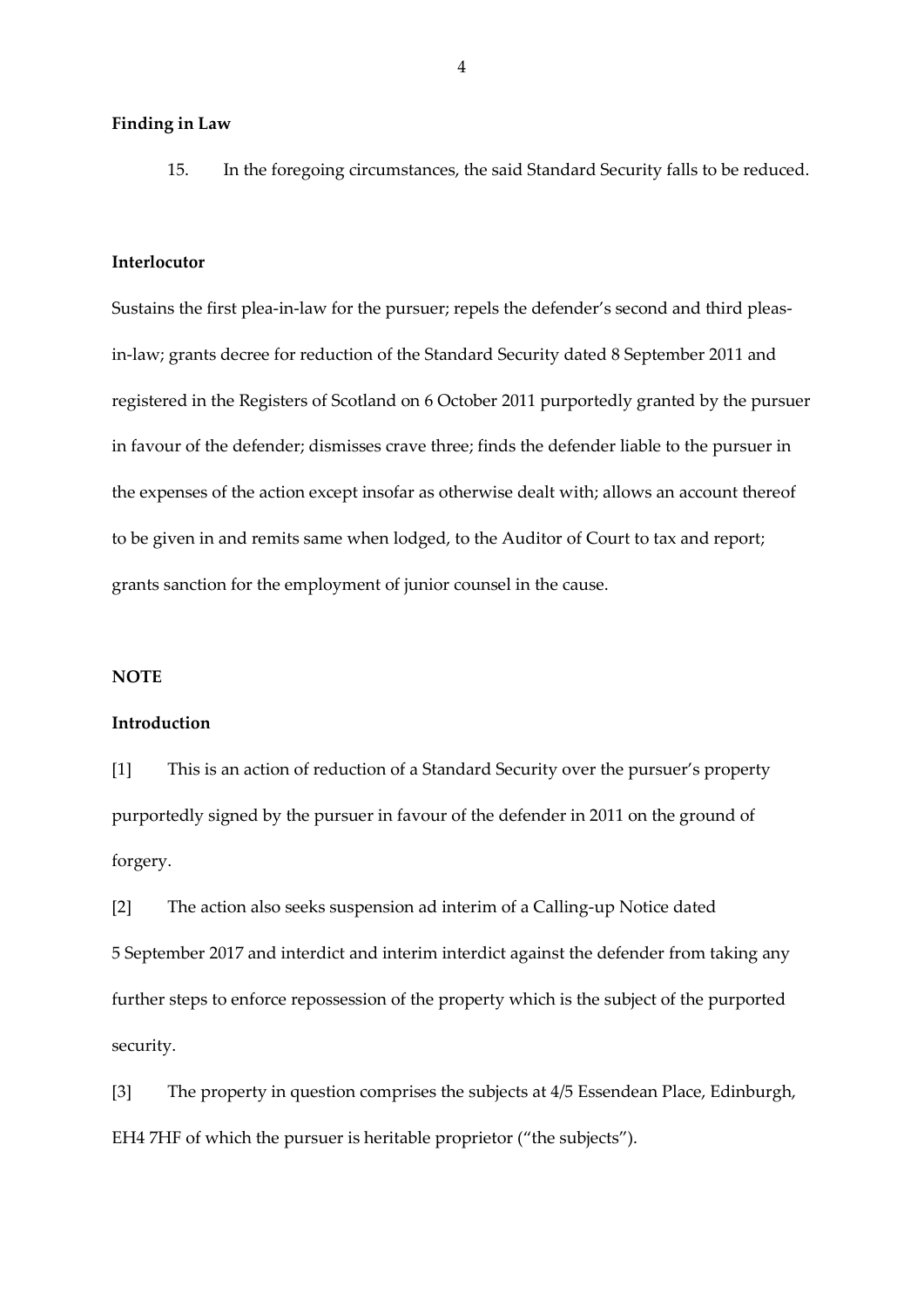### **Finding in Law**

15. In the foregoing circumstances, the said Standard Security falls to be reduced.

#### **Interlocutor**

Sustains the first plea-in-law for the pursuer; repels the defender's second and third pleasin-law; grants decree for reduction of the Standard Security dated 8 September 2011 and registered in the Registers of Scotland on 6 October 2011 purportedly granted by the pursuer in favour of the defender; dismisses crave three; finds the defender liable to the pursuer in the expenses of the action except insofar as otherwise dealt with; allows an account thereof to be given in and remits same when lodged, to the Auditor of Court to tax and report; grants sanction for the employment of junior counsel in the cause.

#### **NOTE**

#### **Introduction**

[1] This is an action of reduction of a Standard Security over the pursuer's property purportedly signed by the pursuer in favour of the defender in 2011 on the ground of forgery.

[2] The action also seeks suspension ad interim of a Calling-up Notice dated 5 September 2017 and interdict and interim interdict against the defender from taking any further steps to enforce repossession of the property which is the subject of the purported security.

[3] The property in question comprises the subjects at 4/5 Essendean Place, Edinburgh, EH4 7HF of which the pursuer is heritable proprietor ("the subjects").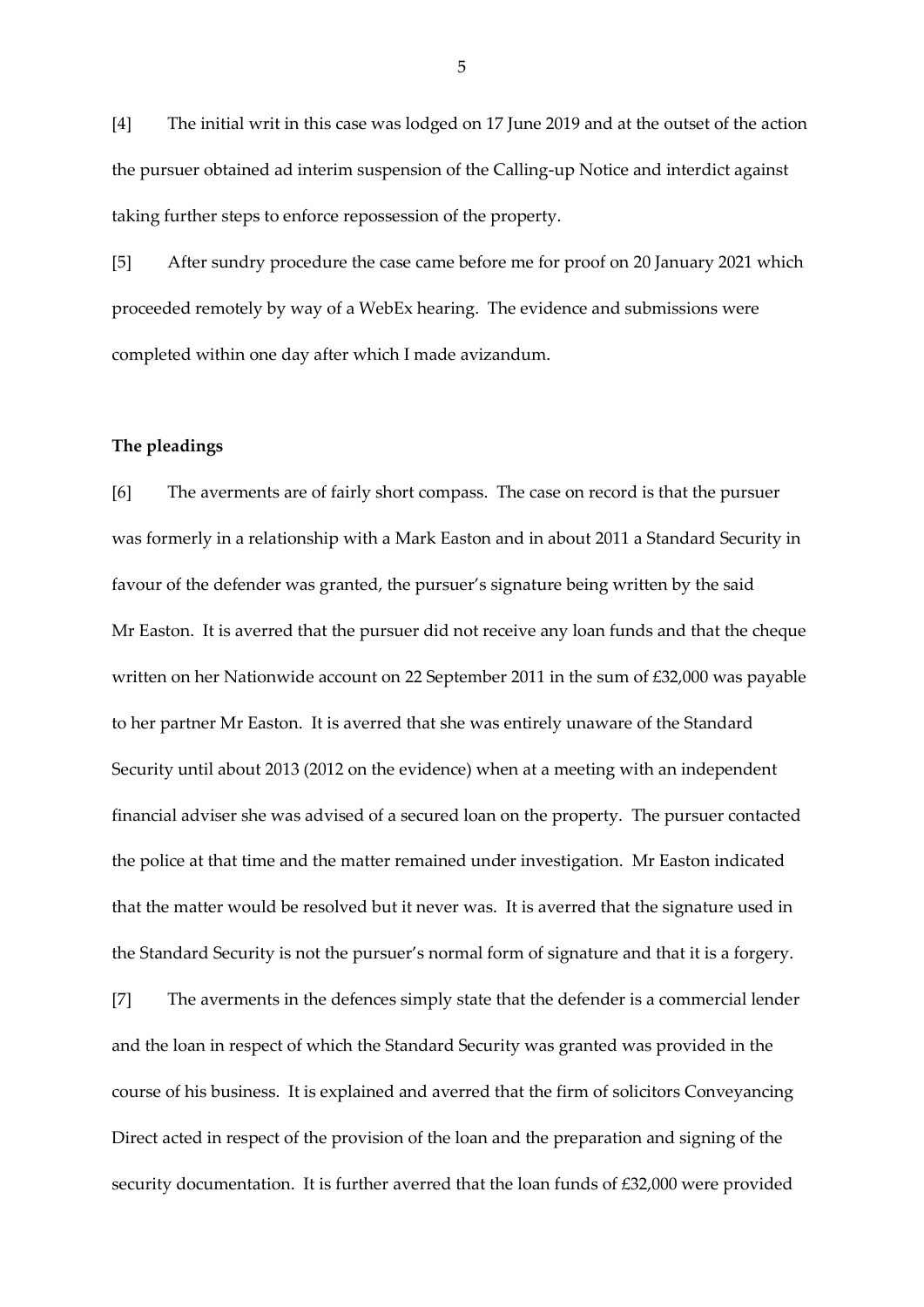[4] The initial writ in this case was lodged on 17 June 2019 and at the outset of the action the pursuer obtained ad interim suspension of the Calling-up Notice and interdict against taking further steps to enforce repossession of the property.

[5] After sundry procedure the case came before me for proof on 20 January 2021 which proceeded remotely by way of a WebEx hearing. The evidence and submissions were completed within one day after which I made avizandum.

#### **The pleadings**

[6] The averments are of fairly short compass. The case on record is that the pursuer was formerly in a relationship with a Mark Easton and in about 2011 a Standard Security in favour of the defender was granted, the pursuer's signature being written by the said Mr Easton. It is averred that the pursuer did not receive any loan funds and that the cheque written on her Nationwide account on 22 September 2011 in the sum of £32,000 was payable to her partner Mr Easton. It is averred that she was entirely unaware of the Standard Security until about 2013 (2012 on the evidence) when at a meeting with an independent financial adviser she was advised of a secured loan on the property. The pursuer contacted the police at that time and the matter remained under investigation. Mr Easton indicated that the matter would be resolved but it never was. It is averred that the signature used in the Standard Security is not the pursuer's normal form of signature and that it is a forgery. [7] The averments in the defences simply state that the defender is a commercial lender

and the loan in respect of which the Standard Security was granted was provided in the course of his business. It is explained and averred that the firm of solicitors Conveyancing Direct acted in respect of the provision of the loan and the preparation and signing of the security documentation. It is further averred that the loan funds of £32,000 were provided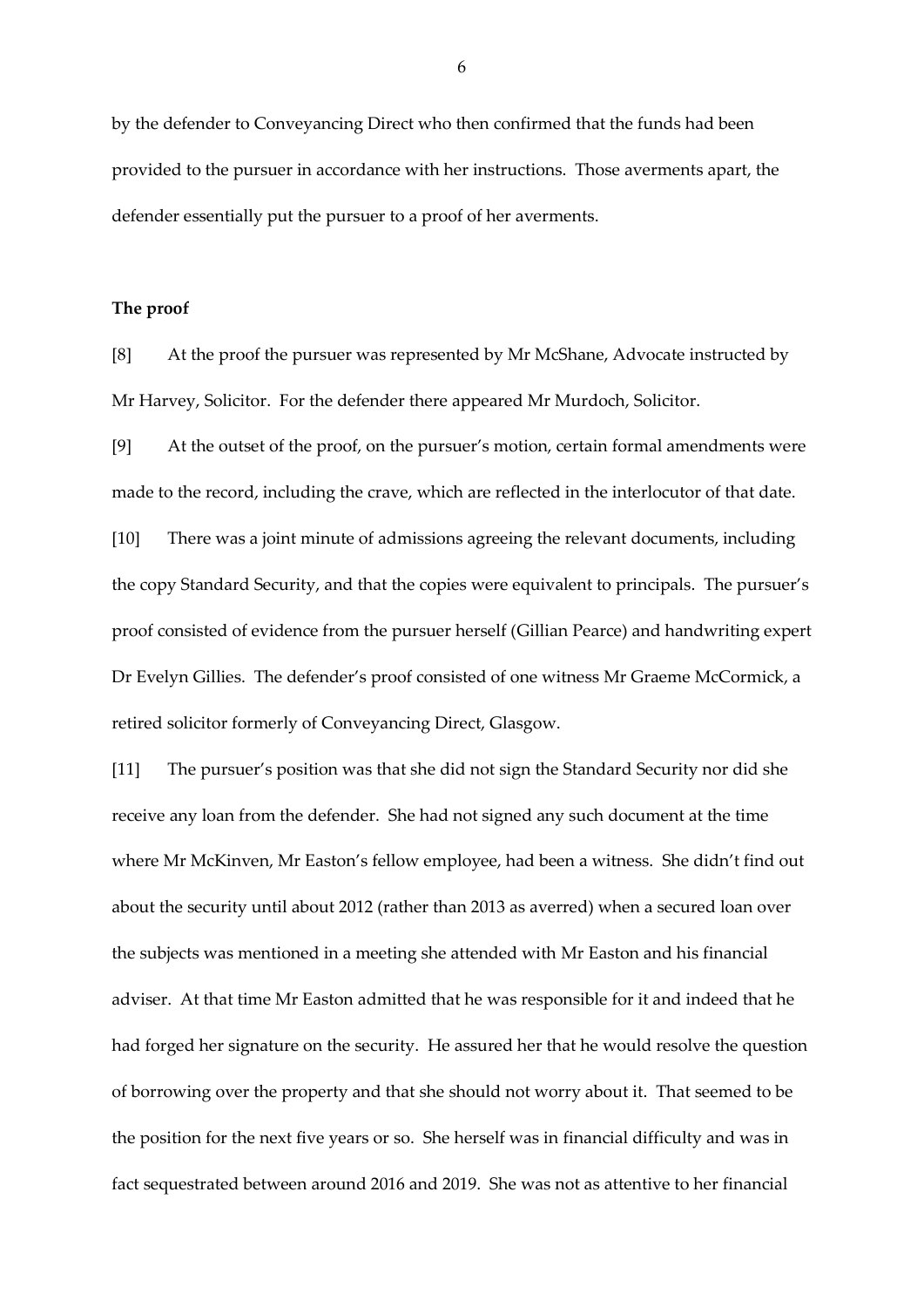by the defender to Conveyancing Direct who then confirmed that the funds had been provided to the pursuer in accordance with her instructions. Those averments apart, the defender essentially put the pursuer to a proof of her averments.

#### **The proof**

[8] At the proof the pursuer was represented by Mr McShane, Advocate instructed by Mr Harvey, Solicitor. For the defender there appeared Mr Murdoch, Solicitor.

[9] At the outset of the proof, on the pursuer's motion, certain formal amendments were made to the record, including the crave, which are reflected in the interlocutor of that date. [10] There was a joint minute of admissions agreeing the relevant documents, including the copy Standard Security, and that the copies were equivalent to principals. The pursuer's proof consisted of evidence from the pursuer herself (Gillian Pearce) and handwriting expert Dr Evelyn Gillies. The defender's proof consisted of one witness Mr Graeme McCormick, a retired solicitor formerly of Conveyancing Direct, Glasgow.

[11] The pursuer's position was that she did not sign the Standard Security nor did she receive any loan from the defender. She had not signed any such document at the time where Mr McKinven, Mr Easton's fellow employee, had been a witness. She didn't find out about the security until about 2012 (rather than 2013 as averred) when a secured loan over the subjects was mentioned in a meeting she attended with Mr Easton and his financial adviser. At that time Mr Easton admitted that he was responsible for it and indeed that he had forged her signature on the security. He assured her that he would resolve the question of borrowing over the property and that she should not worry about it. That seemed to be the position for the next five years or so. She herself was in financial difficulty and was in fact sequestrated between around 2016 and 2019. She was not as attentive to her financial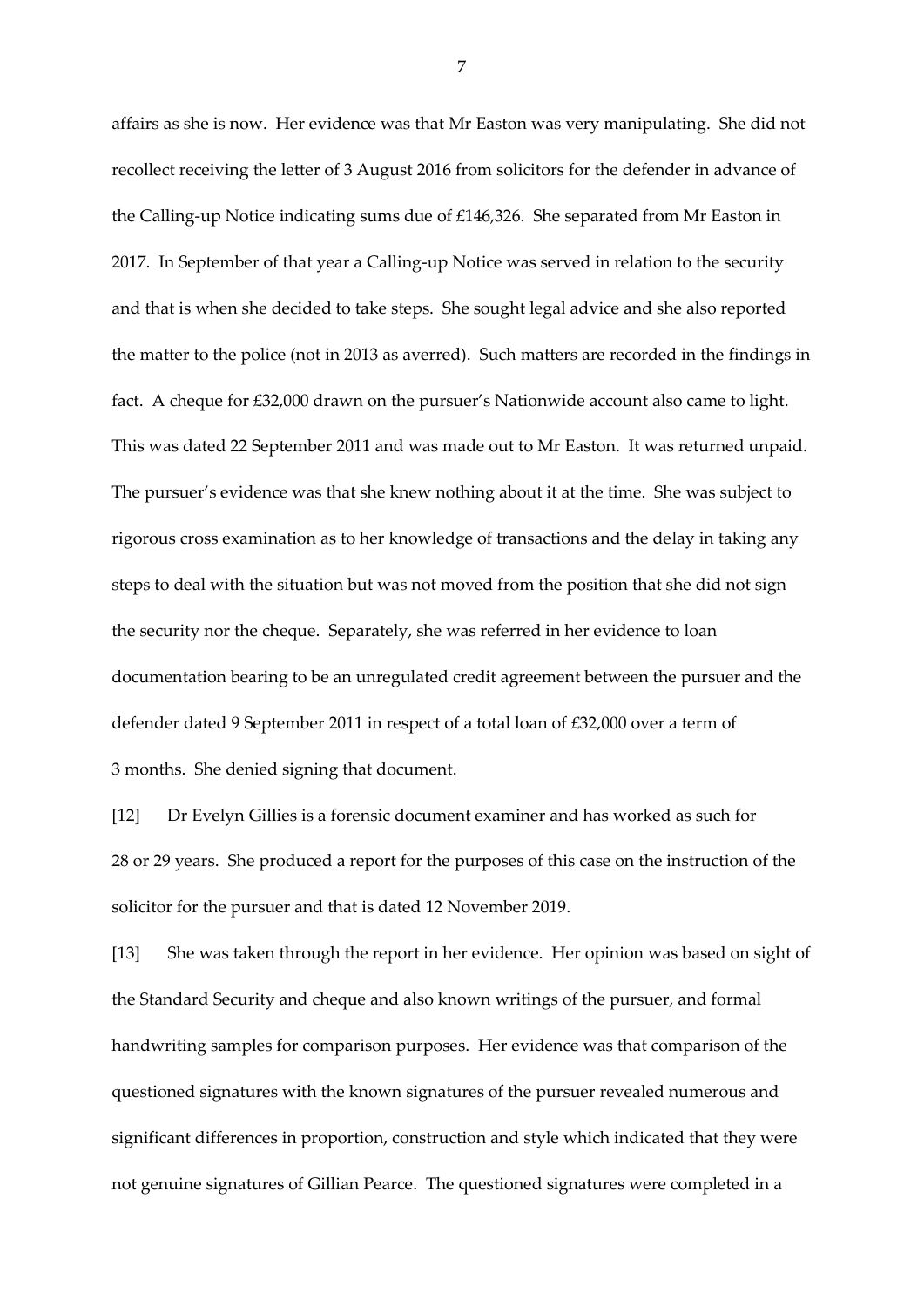affairs as she is now. Her evidence was that Mr Easton was very manipulating. She did not recollect receiving the letter of 3 August 2016 from solicitors for the defender in advance of the Calling-up Notice indicating sums due of £146,326. She separated from Mr Easton in 2017. In September of that year a Calling-up Notice was served in relation to the security and that is when she decided to take steps. She sought legal advice and she also reported the matter to the police (not in 2013 as averred). Such matters are recorded in the findings in fact. A cheque for £32,000 drawn on the pursuer's Nationwide account also came to light. This was dated 22 September 2011 and was made out to Mr Easton. It was returned unpaid. The pursuer's evidence was that she knew nothing about it at the time. She was subject to rigorous cross examination as to her knowledge of transactions and the delay in taking any steps to deal with the situation but was not moved from the position that she did not sign the security nor the cheque. Separately, she was referred in her evidence to loan documentation bearing to be an unregulated credit agreement between the pursuer and the defender dated 9 September 2011 in respect of a total loan of £32,000 over a term of 3 months. She denied signing that document.

[12] Dr Evelyn Gillies is a forensic document examiner and has worked as such for 28 or 29 years. She produced a report for the purposes of this case on the instruction of the solicitor for the pursuer and that is dated 12 November 2019.

[13] She was taken through the report in her evidence. Her opinion was based on sight of the Standard Security and cheque and also known writings of the pursuer, and formal handwriting samples for comparison purposes. Her evidence was that comparison of the questioned signatures with the known signatures of the pursuer revealed numerous and significant differences in proportion, construction and style which indicated that they were not genuine signatures of Gillian Pearce. The questioned signatures were completed in a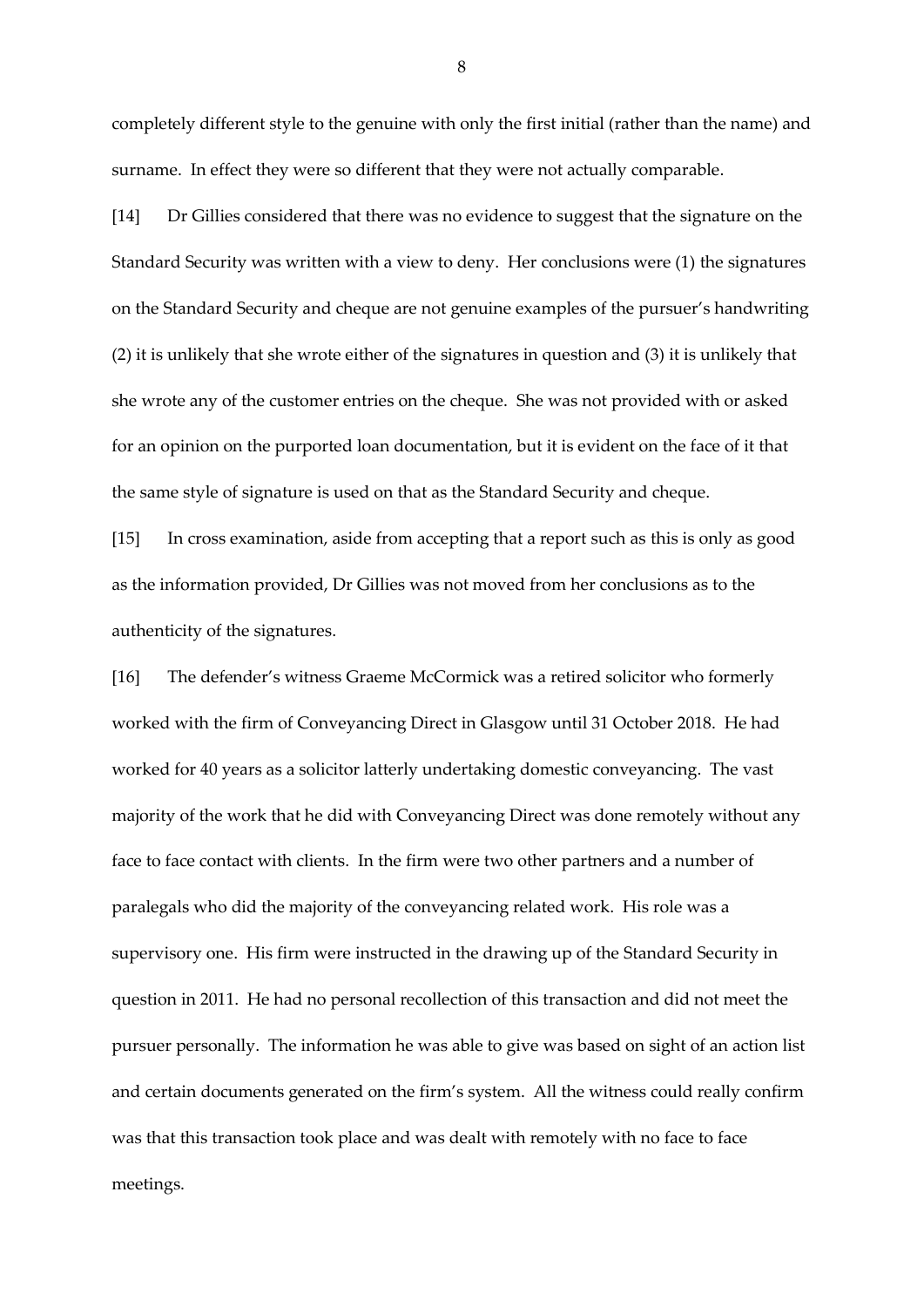completely different style to the genuine with only the first initial (rather than the name) and surname. In effect they were so different that they were not actually comparable.

[14] Dr Gillies considered that there was no evidence to suggest that the signature on the Standard Security was written with a view to deny. Her conclusions were (1) the signatures on the Standard Security and cheque are not genuine examples of the pursuer's handwriting (2) it is unlikely that she wrote either of the signatures in question and (3) it is unlikely that she wrote any of the customer entries on the cheque. She was not provided with or asked for an opinion on the purported loan documentation, but it is evident on the face of it that the same style of signature is used on that as the Standard Security and cheque.

[15] In cross examination, aside from accepting that a report such as this is only as good as the information provided, Dr Gillies was not moved from her conclusions as to the authenticity of the signatures.

[16] The defender's witness Graeme McCormick was a retired solicitor who formerly worked with the firm of Conveyancing Direct in Glasgow until 31 October 2018. He had worked for 40 years as a solicitor latterly undertaking domestic conveyancing. The vast majority of the work that he did with Conveyancing Direct was done remotely without any face to face contact with clients. In the firm were two other partners and a number of paralegals who did the majority of the conveyancing related work. His role was a supervisory one. His firm were instructed in the drawing up of the Standard Security in question in 2011. He had no personal recollection of this transaction and did not meet the pursuer personally. The information he was able to give was based on sight of an action list and certain documents generated on the firm's system. All the witness could really confirm was that this transaction took place and was dealt with remotely with no face to face meetings.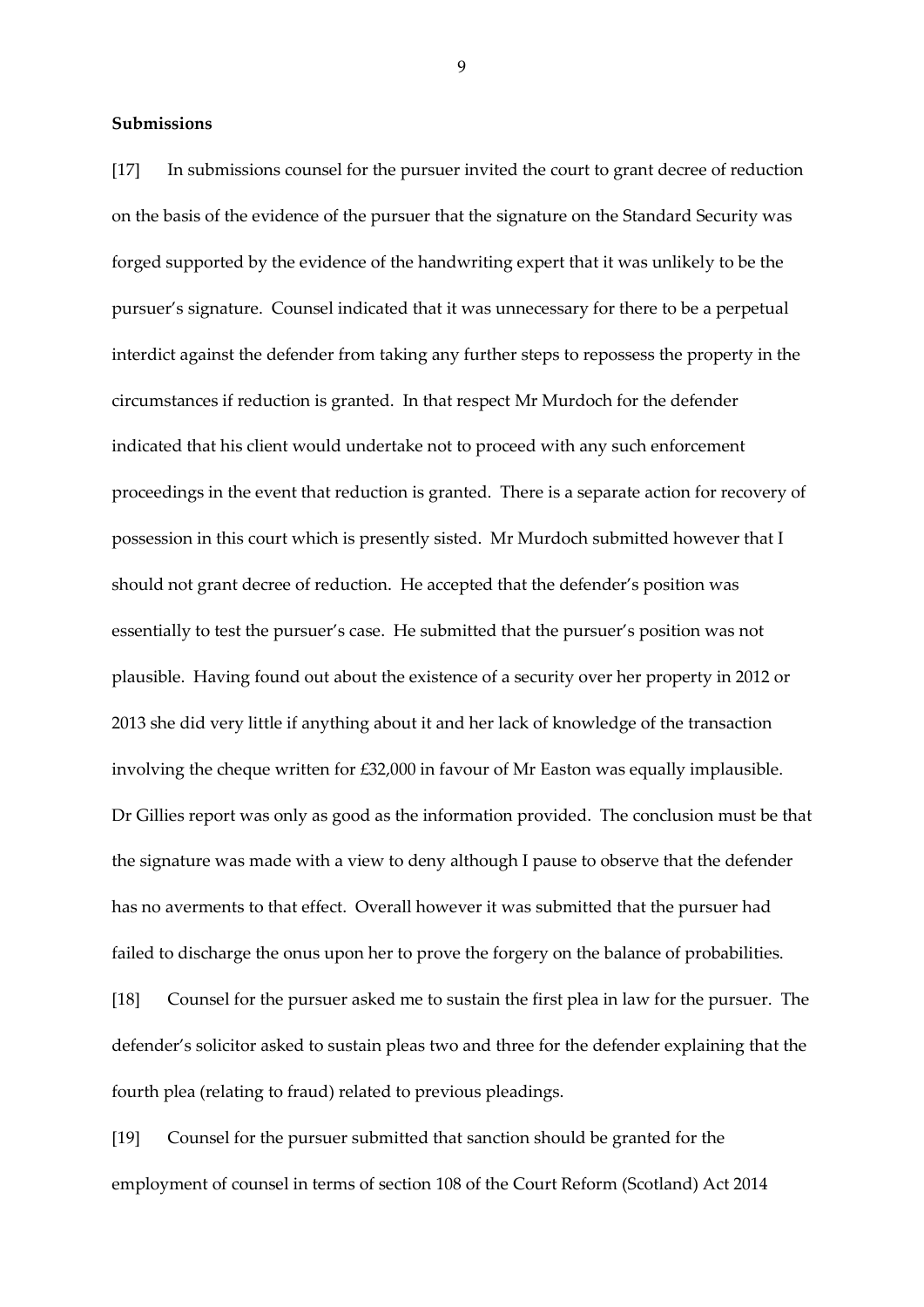### **Submissions**

[17] In submissions counsel for the pursuer invited the court to grant decree of reduction on the basis of the evidence of the pursuer that the signature on the Standard Security was forged supported by the evidence of the handwriting expert that it was unlikely to be the pursuer's signature. Counsel indicated that it was unnecessary for there to be a perpetual interdict against the defender from taking any further steps to repossess the property in the circumstances if reduction is granted. In that respect Mr Murdoch for the defender indicated that his client would undertake not to proceed with any such enforcement proceedings in the event that reduction is granted. There is a separate action for recovery of possession in this court which is presently sisted. Mr Murdoch submitted however that I should not grant decree of reduction. He accepted that the defender's position was essentially to test the pursuer's case. He submitted that the pursuer's position was not plausible. Having found out about the existence of a security over her property in 2012 or 2013 she did very little if anything about it and her lack of knowledge of the transaction involving the cheque written for £32,000 in favour of Mr Easton was equally implausible. Dr Gillies report was only as good as the information provided. The conclusion must be that the signature was made with a view to deny although I pause to observe that the defender has no averments to that effect. Overall however it was submitted that the pursuer had failed to discharge the onus upon her to prove the forgery on the balance of probabilities. [18] Counsel for the pursuer asked me to sustain the first plea in law for the pursuer. The defender's solicitor asked to sustain pleas two and three for the defender explaining that the fourth plea (relating to fraud) related to previous pleadings.

[19] Counsel for the pursuer submitted that sanction should be granted for the employment of counsel in terms of section 108 of the Court Reform (Scotland) Act 2014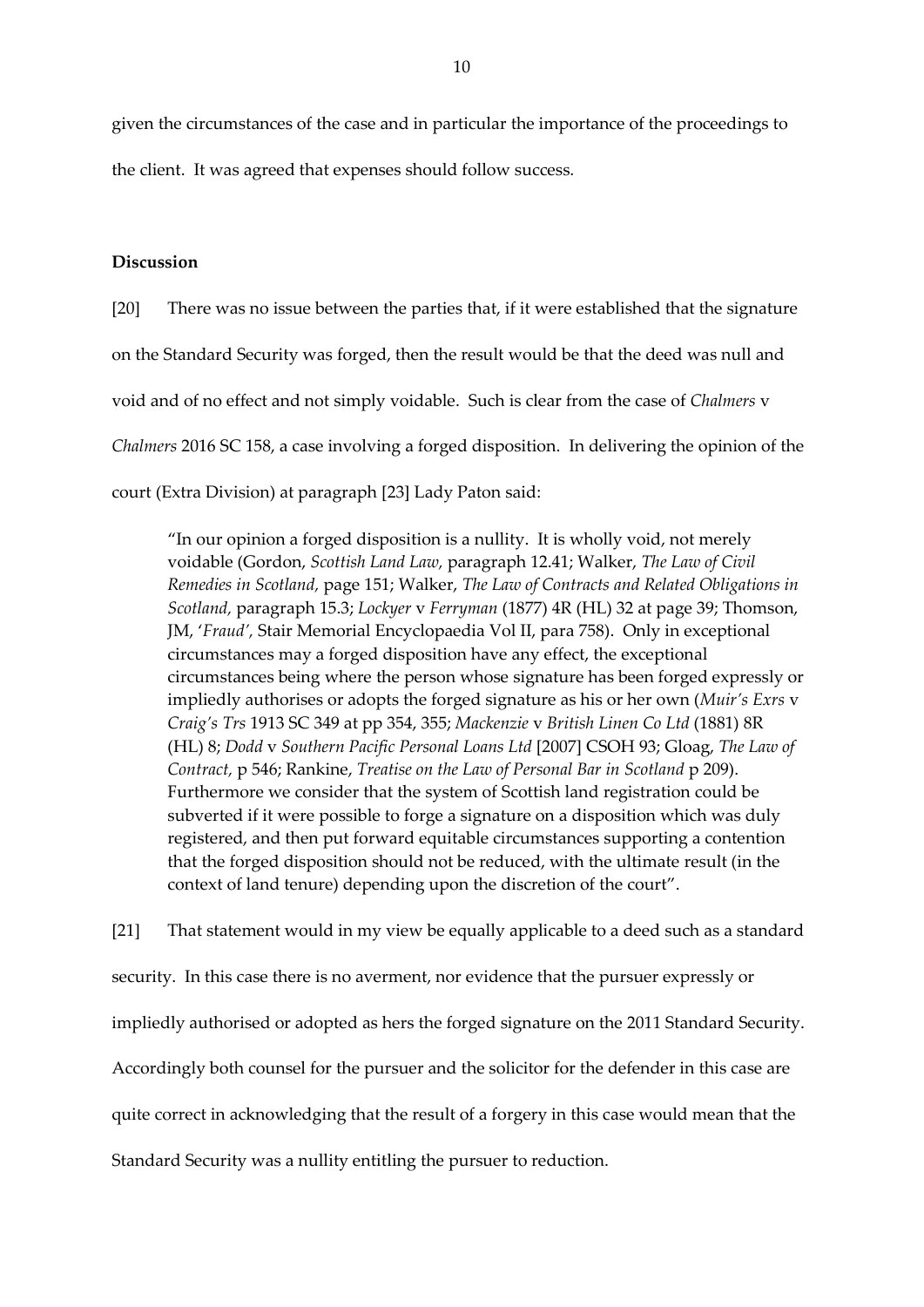given the circumstances of the case and in particular the importance of the proceedings to the client. It was agreed that expenses should follow success.

### **Discussion**

[20] There was no issue between the parties that, if it were established that the signature on the Standard Security was forged, then the result would be that the deed was null and void and of no effect and not simply voidable. Such is clear from the case of *Chalmers* v *Chalmers* 2016 SC 158, a case involving a forged disposition. In delivering the opinion of the court (Extra Division) at paragraph [23] Lady Paton said:

"In our opinion a forged disposition is a nullity. It is wholly void, not merely voidable (Gordon, *Scottish Land Law,* paragraph 12.41; Walker, *The Law of Civil Remedies in Scotland,* page 151; Walker, *The Law of Contracts and Related Obligations in Scotland,* paragraph 15.3; *Lockyer* v *Ferryman* (1877) 4R (HL) 32 at page 39; Thomson, JM, '*Fraud',* Stair Memorial Encyclopaedia Vol II, para 758). Only in exceptional circumstances may a forged disposition have any effect, the exceptional circumstances being where the person whose signature has been forged expressly or impliedly authorises or adopts the forged signature as his or her own (*Muir's Exrs* v *Craig's Trs* 1913 SC 349 at pp 354, 355; *Mackenzie* v *British Linen Co Ltd* (1881) 8R (HL) 8; *Dodd* v *Southern Pacific Personal Loans Ltd* [2007] CSOH 93; Gloag, *The Law of Contract,* p 546; Rankine, *Treatise on the Law of Personal Bar in Scotland* p 209). Furthermore we consider that the system of Scottish land registration could be subverted if it were possible to forge a signature on a disposition which was duly registered, and then put forward equitable circumstances supporting a contention that the forged disposition should not be reduced, with the ultimate result (in the context of land tenure) depending upon the discretion of the court".

[21] That statement would in my view be equally applicable to a deed such as a standard security. In this case there is no averment, nor evidence that the pursuer expressly or impliedly authorised or adopted as hers the forged signature on the 2011 Standard Security. Accordingly both counsel for the pursuer and the solicitor for the defender in this case are quite correct in acknowledging that the result of a forgery in this case would mean that the Standard Security was a nullity entitling the pursuer to reduction.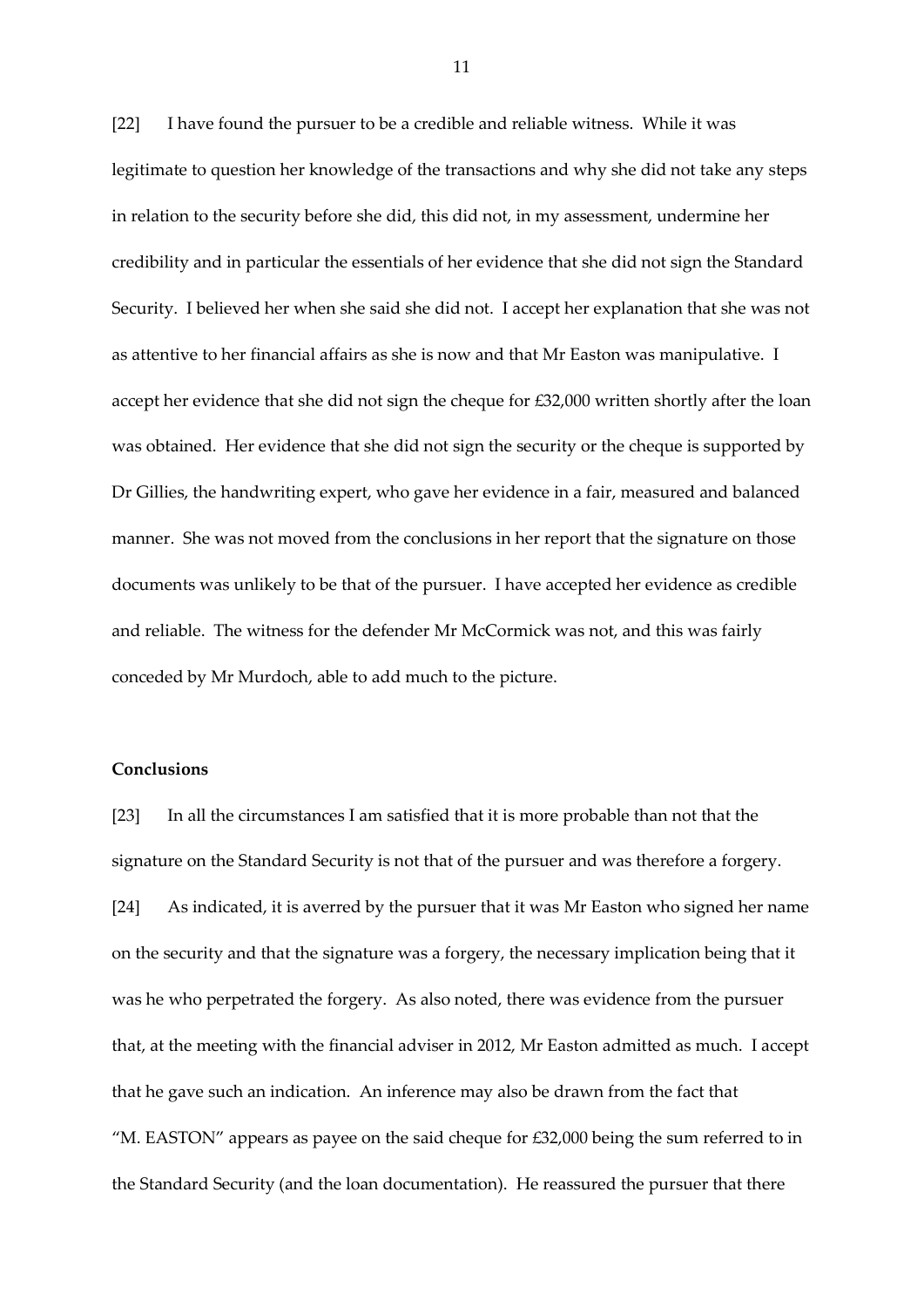[22] I have found the pursuer to be a credible and reliable witness. While it was legitimate to question her knowledge of the transactions and why she did not take any steps in relation to the security before she did, this did not, in my assessment, undermine her credibility and in particular the essentials of her evidence that she did not sign the Standard Security. I believed her when she said she did not. I accept her explanation that she was not as attentive to her financial affairs as she is now and that Mr Easton was manipulative. I accept her evidence that she did not sign the cheque for £32,000 written shortly after the loan was obtained. Her evidence that she did not sign the security or the cheque is supported by Dr Gillies, the handwriting expert, who gave her evidence in a fair, measured and balanced manner. She was not moved from the conclusions in her report that the signature on those documents was unlikely to be that of the pursuer. I have accepted her evidence as credible and reliable. The witness for the defender Mr McCormick was not, and this was fairly conceded by Mr Murdoch, able to add much to the picture.

## **Conclusions**

[23] In all the circumstances I am satisfied that it is more probable than not that the signature on the Standard Security is not that of the pursuer and was therefore a forgery. [24] As indicated, it is averred by the pursuer that it was Mr Easton who signed her name on the security and that the signature was a forgery, the necessary implication being that it was he who perpetrated the forgery. As also noted, there was evidence from the pursuer that, at the meeting with the financial adviser in 2012, Mr Easton admitted as much. I accept that he gave such an indication. An inference may also be drawn from the fact that "M. EASTON" appears as payee on the said cheque for £32,000 being the sum referred to in the Standard Security (and the loan documentation). He reassured the pursuer that there